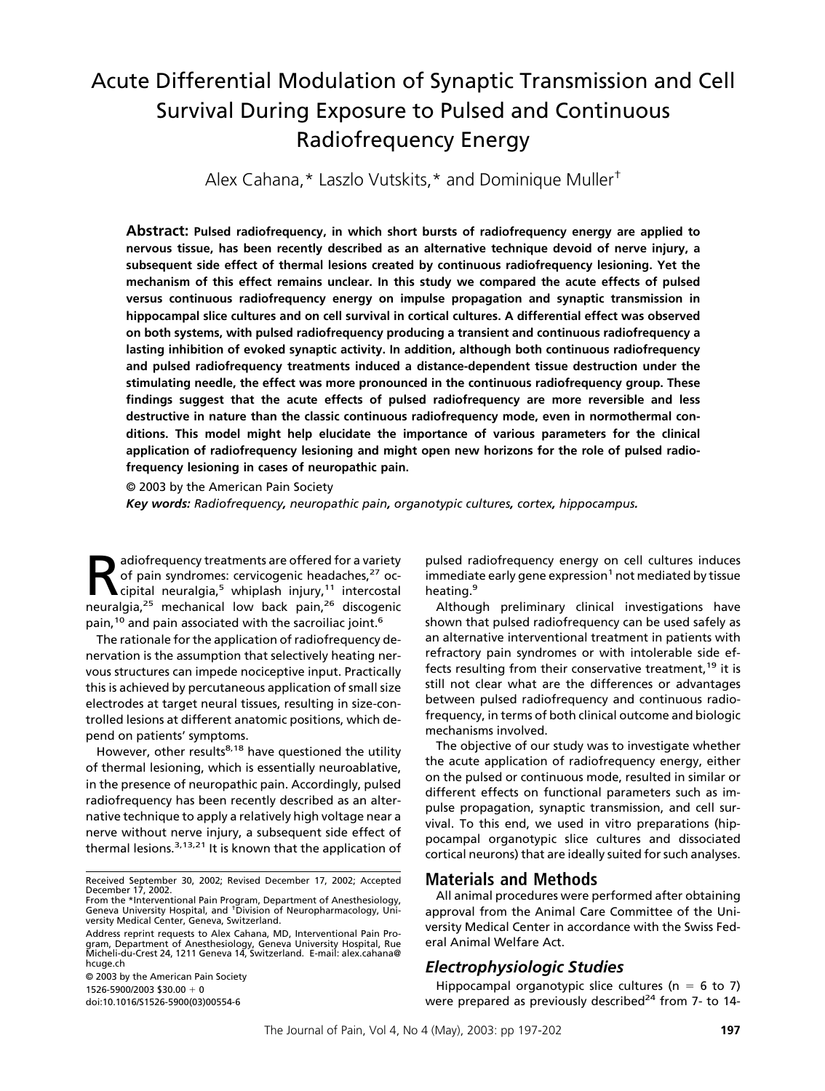# Acute Differential Modulation of Synaptic Transmission and Cell Survival During Exposure to Pulsed and Continuous Radiofrequency Energy

Alex Cahana,\* Laszlo Vutskits,\* and Dominique Muller†

**Abstract: Pulsed radiofrequency, in which short bursts of radiofrequency energy are applied to nervous tissue, has been recently described as an alternative technique devoid of nerve injury, a subsequent side effect of thermal lesions created by continuous radiofrequency lesioning. Yet the mechanism of this effect remains unclear. In this study we compared the acute effects of pulsed versus continuous radiofrequency energy on impulse propagation and synaptic transmission in hippocampal slice cultures and on cell survival in cortical cultures. A differential effect was observed on both systems, with pulsed radiofrequency producing a transient and continuous radiofrequency a lasting inhibition of evoked synaptic activity. In addition, although both continuous radiofrequency and pulsed radiofrequency treatments induced a distance-dependent tissue destruction under the stimulating needle, the effect was more pronounced in the continuous radiofrequency group. These findings suggest that the acute effects of pulsed radiofrequency are more reversible and less destructive in nature than the classic continuous radiofrequency mode, even in normothermal conditions. This model might help elucidate the importance of various parameters for the clinical application of radiofrequency lesioning and might open new horizons for the role of pulsed radiofrequency lesioning in cases of neuropathic pain.**

© 2003 by the American Pain Society

*Key words: Radiofrequency, neuropathic pain, organotypic cultures, cortex, hippocampus.*

adiofrequency treatments are offered for a [vari](#page-5-0)ety<br>of pain syndromes: cervicogenic headaches,<sup>27</sup> oc-<br>cipital neuralgia,<sup>5</sup> whiplash injury,<sup>11</sup> intercostal<br>neuralgia,<sup>25</sup> mochanical low, back pain.<sup>26</sup> discogenic of pain syndromes: cervicogenic headaches,<sup>27</sup> ocneuralgia,25 mechanical low back pain[,26](#page-5-0) discogenic pain,<sup>10</sup> and pain associated with the sacroiliac joint.<sup>6</sup>

The rationale for the application of radiofrequency denervation is the assumption that selectively heating nervous structures can impede nociceptive input. Practically this is achieved by percutaneous application of small size electrodes at target neural tissues, resulting in size-controlled lesions at different anatomic positions, which depend on patients' symptoms.

However, other results<sup>8,18</sup> have questioned the utility of thermal lesioning, which is essentially neuroablative, in the presence of neuropathic pain. Accordingly, pulsed radiofrequency has been recently described as an alternative technique to apply a relatively high voltage near a nerve without nerve injury, a subsequent side effect of thermal lesions. $3,13,21$  It is known that the application of

© 2003 by the American Pain Society  $1526 - 5900/2003$ \$30.00 + 0 doi:10.1016/S1526-5900(03)00554-6

pulsed radiofrequency energy on cell cultures induces immediate early gene expression<sup>1</sup> not mediated by tissue heating[.9](#page-5-0)

Although preliminary clinical investigations have shown that pulsed radiofrequency can be used safely as an alternative interventional treatment in patients with refractory pain syndromes or with intolerable side effects resulting from their conservative treatment,<sup>19</sup> it is still not clear what are the differences or advantages between pulsed radiofrequency and continuous radiofrequency, in terms of both clinical outcome and biologic mechanisms involved.

The objective of our study was to investigate whether the acute application of radiofrequency energy, either on the pulsed or continuous mode, resulted in similar or different effects on functional parameters such as impulse propagation, synaptic transmission, and cell survival. To this end, we used in vitro preparations (hippocampal organotypic slice cultures and dissociated cortical neurons) that are ideally suited for such analyses.

#### **Materials and Methods**

All animal procedures were performed after obtaining approval from the Animal Care Committee of the University Medical Center in accordance with the Swiss Federal Animal Welfare Act.

#### *Electrophysiologic Studies*

Hippocampal organotypic slice cultures ( $n = 6$  to 7) were prepared as previously described<sup>24</sup> from  $7-$  to 14-

Received September 30, 2002; Revised December 17, 2002; Accepted December 17, 2002.

From the \*Interventional Pain Program, Department of Anesthesiology, Geneva University Hospital, and <sup>†</sup>Division of Neuropharmacology, University Medical Center, Geneva, Switzerland.

Address reprint requests to Alex Cahana, MD, Interventional Pain Program, Department of Anesthesiology, Geneva University Hospital, Rue Micheli-du-Crest 24, 1211 Geneva 14, Switzerland. E-mail: alex.cahana@ hcuge.ch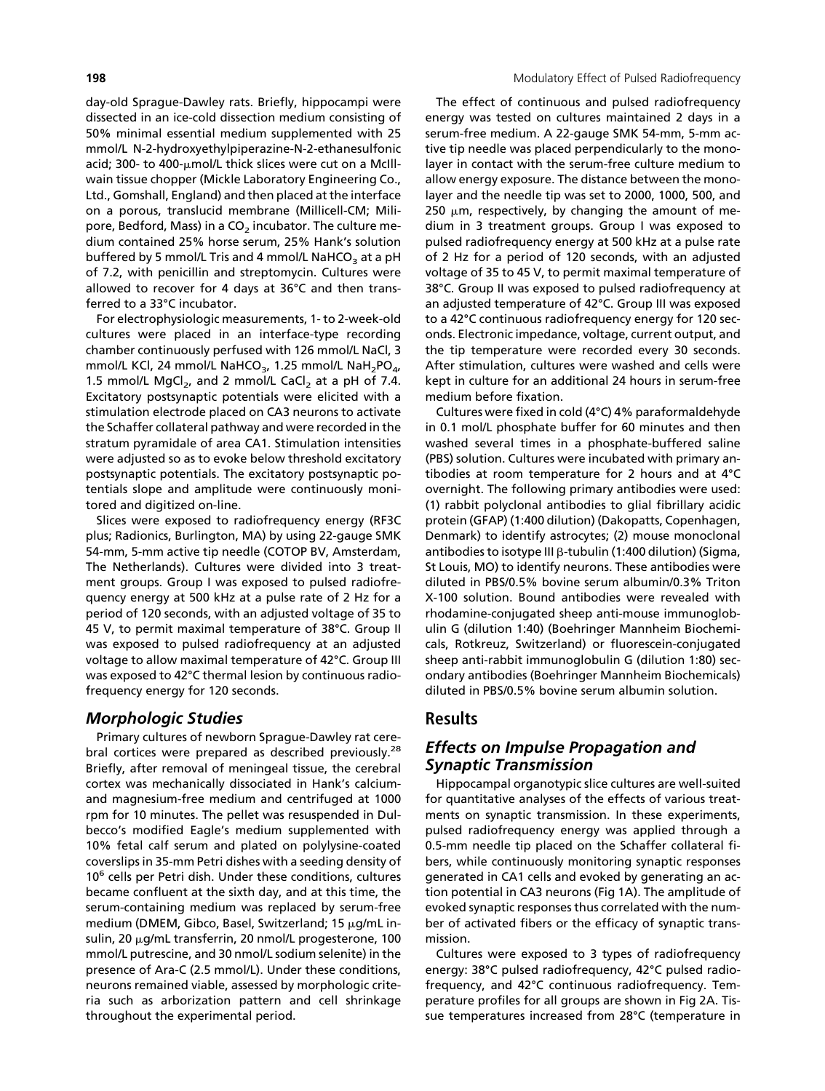day-old Sprague-Dawley rats. Briefly, hippocampi were dissected in an ice-cold dissection medium consisting of 50% minimal essential medium supplemented with 25 mmol/L N-2-hydroxyethylpiperazine-N-2-ethanesulfonic acid; 300- to 400- $\mu$ mol/L thick slices were cut on a McIIIwain tissue chopper (Mickle Laboratory Engineering Co., Ltd., Gomshall, England) and then placed at the interface on a porous, translucid membrane (Millicell-CM; Milipore, Bedford, Mass) in a  $CO<sub>2</sub>$  incubator. The culture medium contained 25% horse serum, 25% Hank's solution buffered by 5 mmol/L Tris and 4 mmol/L NaHCO<sub>3</sub> at a pH of 7.2, with penicillin and streptomycin. Cultures were allowed to recover for 4 days at 36°C and then transferred to a 33°C incubator.

For electrophysiologic measurements, 1- to 2-week-old cultures were placed in an interface-type recording chamber continuously perfused with 126 mmol/L NaCl, 3 mmol/L KCl, 24 mmol/L NaHCO<sub>3</sub>, 1.25 mmol/L NaH<sub>2</sub>PO<sub>4</sub>, 1.5 mmol/L MgCl<sub>2</sub>, and 2 mmol/L CaCl<sub>2</sub> at a pH of 7.4. Excitatory postsynaptic potentials were elicited with a stimulation electrode placed on CA3 neurons to activate the Schaffer collateral pathway and were recorded in the stratum pyramidale of area CA1. Stimulation intensities were adjusted so as to evoke below threshold excitatory postsynaptic potentials. The excitatory postsynaptic potentials slope and amplitude were continuously monitored and digitized on-line.

Slices were exposed to radiofrequency energy (RF3C plus; Radionics, Burlington, MA) by using 22-gauge SMK 54-mm, 5-mm active tip needle (COTOP BV, Amsterdam, The Netherlands). Cultures were divided into 3 treatment groups. Group I was exposed to pulsed radiofrequency energy at 500 kHz at a pulse rate of 2 Hz for a period of 120 seconds, with an adjusted voltage of 35 to 45 V, to permit maximal temperature of 38°C. Group II was exposed to pulsed radiofrequency at an adjusted voltage to allow maximal temperature of 42°C. Group III was exposed to 42°C thermal lesion by continuous radiofrequency energy for 120 seconds.

## *Morphologic Studies*

Primary cultures of newborn Sprague-Dawley rat cerebral cortices were prepared as described previously.<sup>28</sup> Briefly, after removal of meningeal tissue, the cerebral cortex was mechanically dissociated in Hank's calciumand magnesium-free medium and centrifuged at 1000 rpm for 10 minutes. The pellet was resuspended in Dulbecco's modified Eagle's medium supplemented with 10% fetal calf serum and plated on polylysine-coated coverslips in 35-mm Petri dishes with a seeding density of 10<sup>6</sup> cells per Petri dish. Under these conditions, cultures became confluent at the sixth day, and at this time, the serum-containing medium was replaced by serum-free medium (DMEM, Gibco, Basel, Switzerland; 15  $\mu$ g/mL insulin, 20 µg/mL transferrin, 20 nmol/L progesterone, 100 mmol/L putrescine, and 30 nmol/L sodium selenite) in the presence of Ara-C (2.5 mmol/L). Under these conditions, neurons remained viable, assessed by morphologic criteria such as arborization pattern and cell shrinkage throughout the experimental period.

The effect of continuous and pulsed radiofrequency energy was tested on cultures maintained 2 days in a serum-free medium. A 22-gauge SMK 54-mm, 5-mm active tip needle was placed perpendicularly to the monolayer in contact with the serum-free culture medium to allow energy exposure. The distance between the monolayer and the needle tip was set to 2000, 1000, 500, and 250  $\mu$ m, respectively, by changing the amount of medium in 3 treatment groups. Group I was exposed to pulsed radiofrequency energy at 500 kHz at a pulse rate of 2 Hz for a period of 120 seconds, with an adjusted voltage of 35 to 45 V, to permit maximal temperature of 38°C. Group II was exposed to pulsed radiofrequency at an adjusted temperature of 42°C. Group III was exposed to a 42°C continuous radiofrequency energy for 120 seconds. Electronic impedance, voltage, current output, and the tip temperature were recorded every 30 seconds. After stimulation, cultures were washed and cells were kept in culture for an additional 24 hours in serum-free medium before fixation.

Cultures were fixed in cold (4°C) 4% paraformaldehyde in 0.1 mol/L phosphate buffer for 60 minutes and then washed several times in a phosphate-buffered saline (PBS) solution. Cultures were incubated with primary antibodies at room temperature for 2 hours and at 4°C overnight. The following primary antibodies were used: (1) rabbit polyclonal antibodies to glial fibrillary acidic protein (GFAP) (1:400 dilution) (Dakopatts, Copenhagen, Denmark) to identify astrocytes; (2) mouse monoclonal antibodies to isotype III  $\beta$ -tubulin (1:400 dilution) (Sigma, St Louis, MO) to identify neurons. These antibodies were diluted in PBS/0.5% bovine serum albumin/0.3% Triton X-100 solution. Bound antibodies were revealed with rhodamine-conjugated sheep anti-mouse immunoglobulin G (dilution 1:40) (Boehringer Mannheim Biochemicals, Rotkreuz, Switzerland) or fluorescein-conjugated sheep anti-rabbit immunoglobulin G (dilution 1:80) secondary antibodies (Boehringer Mannheim Biochemicals) diluted in PBS/0.5% bovine serum albumin solution.

## **Results**

## *Effects on Impulse Propagation and Synaptic Transmission*

Hippocampal organotypic slice cultures are well-suited for quantitative analyses of the effects of various treatments on synaptic transmission. In these experiments, pulsed radiofrequency energy was applied through a 0.5-mm needle tip placed on the Schaffer collateral fibers, while continuously monitoring synaptic responses generated in CA1 cells and evoked by generating an action potential in CA3 neurons [\(Fig 1A\)](#page-2-0). The amplitude of evoked synaptic responses thus correlated with the number of activated fibers or the efficacy of synaptic transmission.

Cultures were exposed to 3 types of radiofrequency energy: 38°C pulsed radiofrequency, 42°C pulsed radiofrequency, and 42°C continuous radiofrequency. Temperature profiles for all groups are shown in [Fig 2A.](#page-2-0) Tissue temperatures increased from 28°C (temperature in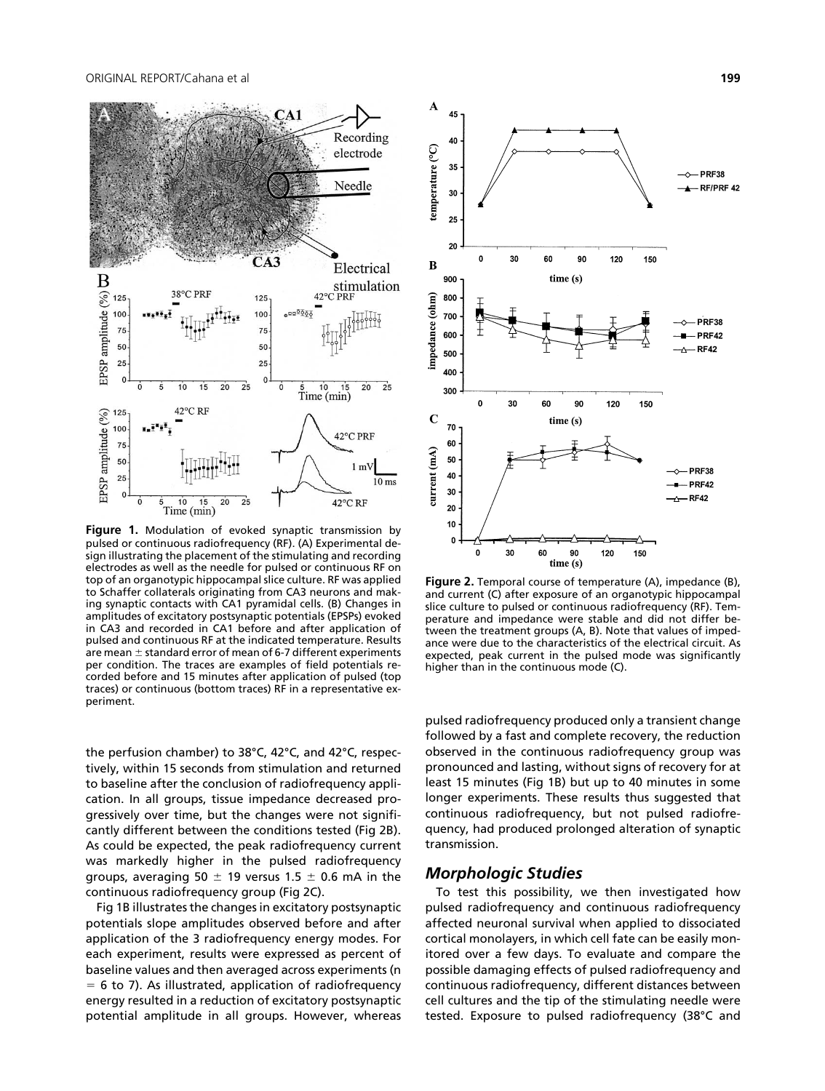<span id="page-2-0"></span>

**Figure 1.** Modulation of evoked synaptic transmission by pulsed or continuous radiofrequency (RF). (A) Experimental design illustrating the placement of the stimulating and recording electrodes as well as the needle for pulsed or continuous RF on top of an organotypic hippocampal slice culture. RF was applied to Schaffer collaterals originating from CA3 neurons and making synaptic contacts with CA1 pyramidal cells. (B) Changes in amplitudes of excitatory postsynaptic potentials (EPSPs) evoked in CA3 and recorded in CA1 before and after application of pulsed and continuous RF at the indicated temperature. Results are mean  $\pm$  standard error of mean of 6-7 different experiments per condition. The traces are examples of field potentials recorded before and 15 minutes after application of pulsed (top traces) or continuous (bottom traces) RF in a representative experiment.

the perfusion chamber) to 38°C, 42°C, and 42°C, respectively, within 15 seconds from stimulation and returned to baseline after the conclusion of radiofrequency application. In all groups, tissue impedance decreased progressively over time, but the changes were not significantly different between the conditions tested (Fig 2B). As could be expected, the peak radiofrequency current was markedly higher in the pulsed radiofrequency groups, averaging 50  $\pm$  19 versus 1.5  $\pm$  0.6 mA in the continuous radiofrequency group (Fig 2C).

Fig 1B illustrates the changes in excitatory postsynaptic potentials slope amplitudes observed before and after application of the 3 radiofrequency energy modes. For each experiment, results were expressed as percent of baseline values and then averaged across experiments (n  $= 6$  to 7). As illustrated, application of radiofrequency energy resulted in a reduction of excitatory postsynaptic potential amplitude in all groups. However, whereas



**Figure 2.** Temporal course of temperature (A), impedance (B), and current (C) after exposure of an organotypic hippocampal slice culture to pulsed or continuous radiofrequency (RF). Temperature and impedance were stable and did not differ between the treatment groups (A, B). Note that values of impedance were due to the characteristics of the electrical circuit. As expected, peak current in the pulsed mode was significantly higher than in the continuous mode (C).

pulsed radiofrequency produced only a transient change followed by a fast and complete recovery, the reduction observed in the continuous radiofrequency group was pronounced and lasting, without signs of recovery for at least 15 minutes (Fig 1B) but up to 40 minutes in some longer experiments. These results thus suggested that continuous radiofrequency, but not pulsed radiofrequency, had produced prolonged alteration of synaptic transmission.

### *Morphologic Studies*

To test this possibility, we then investigated how pulsed radiofrequency and continuous radiofrequency affected neuronal survival when applied to dissociated cortical monolayers, in which cell fate can be easily monitored over a few days. To evaluate and compare the possible damaging effects of pulsed radiofrequency and continuous radiofrequency, different distances between cell cultures and the tip of the stimulating needle were tested. Exposure to pulsed radiofrequency (38°C and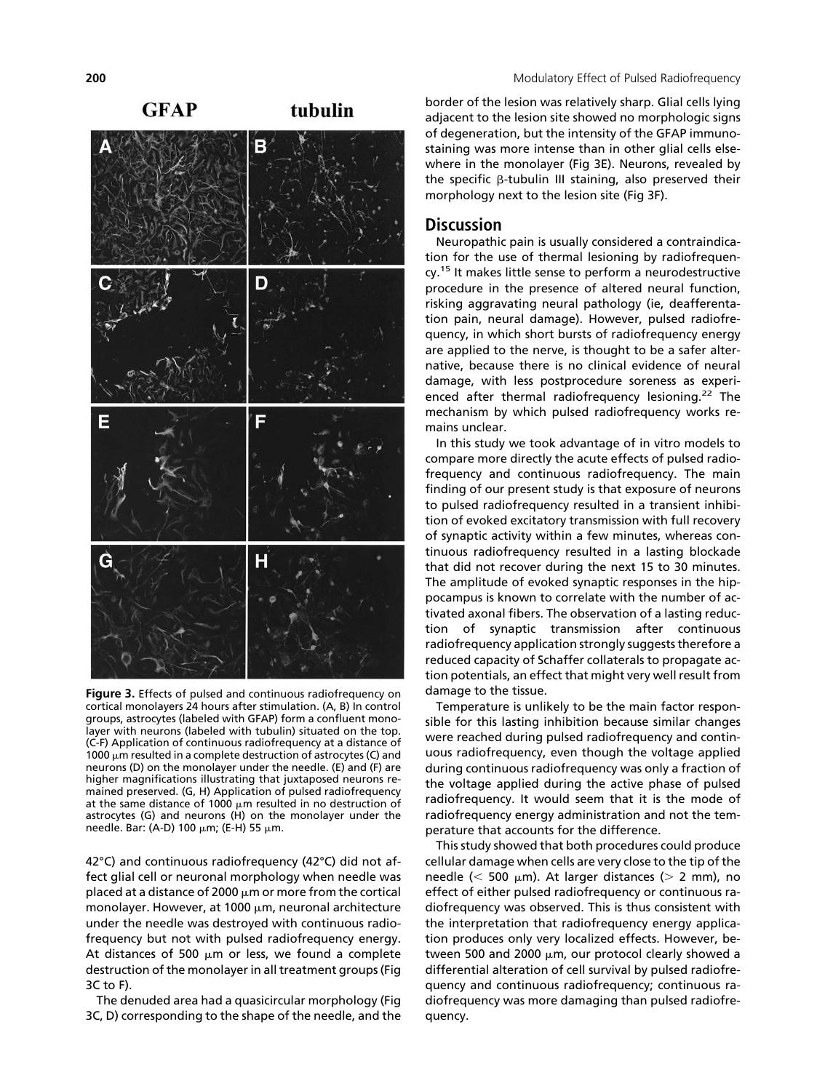

**Figure 3.** Effects of pulsed and continuous radiofrequency on cortical monolayers 24 hours after stimulation. (A, B) In control groups, astrocytes (labeled with GFAP) form a confluent monolayer with neurons (labeled with tubulin) situated on the top. (C-F) Application of continuous radiofrequency at a distance of 1000  $\mu$ m resulted in a complete destruction of astrocytes (C) and neurons (D) on the monolayer under the needle. (E) and (F) are higher magnifications illustrating that juxtaposed neurons remained preserved. (G, H) Application of pulsed radiofrequency at the same distance of 1000  $\mu$ m resulted in no destruction of astrocytes (G) and neurons (H) on the monolayer under the needle. Bar: (A-D) 100  $\mu$ m; (E-H) 55  $\mu$ m.

42°C) and continuous radiofrequency (42°C) did not affect glial cell or neuronal morphology when needle was placed at a distance of 2000  $\mu$ m or more from the cortical monolayer. However, at 1000  $\mu$ m, neuronal architecture under the needle was destroyed with continuous radiofrequency but not with pulsed radiofrequency energy. At distances of 500  $\mu$ m or less, we found a complete destruction of the monolayer in all treatment groups (Fig 3C to F).

The denuded area had a quasicircular morphology (Fig 3C, D) corresponding to the shape of the needle, and the border of the lesion was relatively sharp. Glial cells lying adjacent to the lesion site showed no morphologic signs of degeneration, but the intensity of the GFAP immunostaining was more intense than in other glial cells elsewhere in the monolayer (Fig 3E). Neurons, revealed by the specific  $\beta$ -tubulin III staining, also preserved their morphology next to the lesion site (Fig 3F).

#### **Discussion**

Neuropathic pain is usually considered a contraindication for the use of thermal lesioning by radiofrequency.<sup>15</sup> It makes little sense to perform a neurodestructive procedure in the presence of altered neural function, risking aggravating neural pathology (ie, deafferentation pain, neural damage). However, pulsed radiofrequency, in which short bursts of radiofrequency energy are applied to the nerve, is thought to be a safer alternative, because there is no clinical evidence of neural damage, with less postprocedure soreness as experienced after thermal radiofrequency lesioning.<sup>22</sup> The mechanism by which pulsed radiofrequency works remains unclear.

In this study we took advantage of in vitro models to compare more directly the acute effects of pulsed radiofrequency and continuous radiofrequency. The main finding of our present study is that exposure of neurons to pulsed radiofrequency resulted in a transient inhibition of evoked excitatory transmission with full recovery of synaptic activity within a few minutes, whereas continuous radiofrequency resulted in a lasting blockade that did not recover during the next 15 to 30 minutes. The amplitude of evoked synaptic responses in the hippocampus is known to correlate with the number of activated axonal fibers. The observation of a lasting reduction of synaptic transmission after continuous radiofrequency application strongly suggests therefore a reduced capacity of Schaffer collaterals to propagate action potentials, an effect that might very well result from damage to the tissue.

Temperature is unlikely to be the main factor responsible for this lasting inhibition because similar changes were reached during pulsed radiofrequency and continuous radiofrequency, even though the voltage applied during continuous radiofrequency was only a fraction of the voltage applied during the active phase of pulsed radiofrequency. It would seem that it is the mode of radiofrequency energy administration and not the temperature that accounts for the difference.

This study showed that both procedures could produce cellular damage when cells are very close to the tip of the needle ( $<$  500  $\mu$ m). At larger distances ( $>$  2 mm), no effect of either pulsed radiofrequency or continuous radiofrequency was observed. This is thus consistent with the interpretation that radiofrequency energy application produces only very localized effects. However, between 500 and 2000  $\mu$ m, our protocol clearly showed a differential alteration of cell survival by pulsed radiofrequency and continuous radiofrequency; continuous radiofrequency was more damaging than pulsed radiofrequency.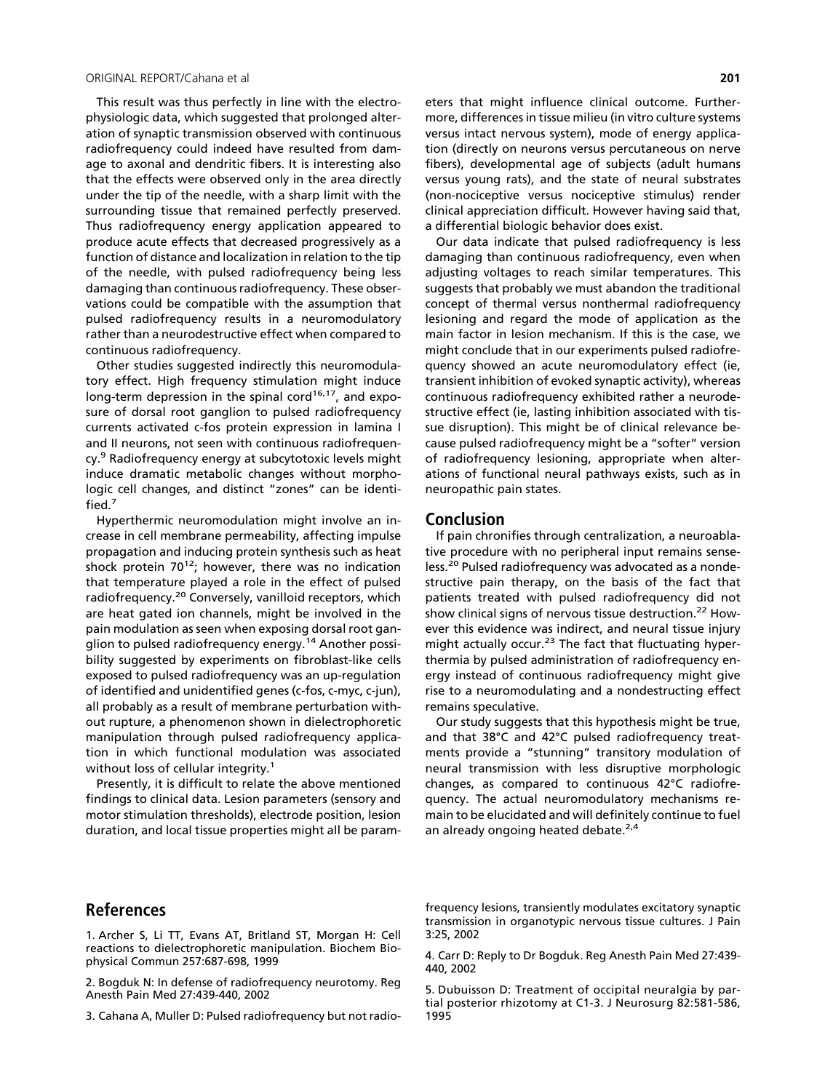<span id="page-4-0"></span>This result was thus perfectly in line with the electrophysiologic data, which suggested that prolonged alteration of synaptic transmission observed with continuous radiofrequency could indeed have resulted from damage to axonal and dendritic fibers. It is interesting also that the effects were observed only in the area directly under the tip of the needle, with a sharp limit with the surrounding tissue that remained perfectly preserved. Thus radiofrequency energy application appeared to produce acute effects that decreased progressively as a function of distance and localization in relation to the tip of the needle, with pulsed radiofrequency being less damaging than continuous radiofrequency. These observations could be compatible with the assumption that pulsed radiofrequency results in a neuromodulatory rather than a neurodestructive effect when compared to continuous radiofrequency.

Other studies suggested indirectly this neuromodulatory effect. High frequency stimulation might induce long-term depression in the spinal cord $16,17$ , and exposure of dorsal root ganglion to pulsed radiofrequency currents activated c-fos protein expression in lamina I and II neurons, not seen with continuous radiofrequency[.9](#page-5-0) Radiofrequency energy at subcytotoxic levels might induce dramatic metabolic changes without morphologic cell changes, and distinct "zones" can be identified[.7](#page-5-0)

Hyperthermic neuromodulation might involve an increase in cell membrane permeability, affecting impulse propagation and inducing protein synthesis such as heat shock protein  $70^{12}$ ; however, there was no indication that temperature played a role in the effect of pulsed radiofrequency[.20](#page-5-0) Conversely, vanilloid receptors, which are heat gated ion channels, might be involved in the pain modulation as seen when exposing dorsal root ganglion to pulsed radiofrequency energy.<sup>14</sup> Another possibility suggested by experiments on fibroblast-like cells exposed to pulsed radiofrequency was an up-regulation of identified and unidentified genes (c-fos, c-myc, c-jun), all probably as a result of membrane perturbation without rupture, a phenomenon shown in dielectrophoretic manipulation through pulsed radiofrequency application in which functional modulation was associated without loss of cellular integrity.<sup>1</sup>

Presently, it is difficult to relate the above mentioned findings to clinical data. Lesion parameters (sensory and motor stimulation thresholds), electrode position, lesion duration, and local tissue properties might all be parameters that might influence clinical outcome. Furthermore, differences in tissue milieu (in vitro culture systems versus intact nervous system), mode of energy application (directly on neurons versus percutaneous on nerve fibers), developmental age of subjects (adult humans versus young rats), and the state of neural substrates (non-nociceptive versus nociceptive stimulus) render clinical appreciation difficult. However having said that, a differential biologic behavior does exist.

Our data indicate that pulsed radiofrequency is less damaging than continuous radiofrequency, even when adjusting voltages to reach similar temperatures. This suggests that probably we must abandon the traditional concept of thermal versus nonthermal radiofrequency lesioning and regard the mode of application as the main factor in lesion mechanism. If this is the case, we might conclude that in our experiments pulsed radiofrequency showed an acute neuromodulatory effect (ie, transient inhibition of evoked synaptic activity), whereas continuous radiofrequency exhibited rather a neurodestructive effect (ie, lasting inhibition associated with tissue disruption). This might be of clinical relevance because pulsed radiofrequency might be a "softer" version of radiofrequency lesioning, appropriate when alterations of functional neural pathways exists, such as in neuropathic pain states.

#### **Conclusion**

If pain chronifies through centralization, a neuroablative procedure with no peripheral input remains senseless[.20](#page-5-0) Pulsed radiofrequency was advocated as a nondestructive pain therapy, on the basis of the fact that patients treated with pulsed radiofrequency did not show clinical signs of nervous tissue destruction.<sup>22</sup> However this evidence was indirect, and neural tissue injury might actually occur.<sup>23</sup> The fact that fluctuating hyperthermia by pulsed administration of radiofrequency energy instead of continuous radiofrequency might give rise to a neuromodulating and a nondestructing effect remains speculative.

Our study suggests that this hypothesis might be true, and that 38°C and 42°C pulsed radiofrequency treatments provide a "stunning" transitory modulation of neural transmission with less disruptive morphologic changes, as compared to continuous 42°C radiofrequency. The actual neuromodulatory mechanisms remain to be elucidated and will definitely continue to fuel an already ongoing heated debate. $2,4$ 

### **References**

1. Archer S, Li TT, Evans AT, Britland ST, Morgan H: Cell reactions to dielectrophoretic manipulation. Biochem Biophysical Commun 257:687-698, 1999

2. Bogduk N: In defense of radiofrequency neurotomy. Reg Anesth Pain Med 27:439-440, 2002

3. Cahana A, Muller D: Pulsed radiofrequency but not radio-

frequency lesions, transiently modulates excitatory synaptic transmission in organotypic nervous tissue cultures. J Pain 3:25, 2002

4. Carr D: Reply to Dr Bogduk. Reg Anesth Pain Med 27:439- 440, 2002

5. Dubuisson D: Treatment of occipital neuralgia by partial posterior rhizotomy at C1-3. J Neurosurg 82:581-586, 1995